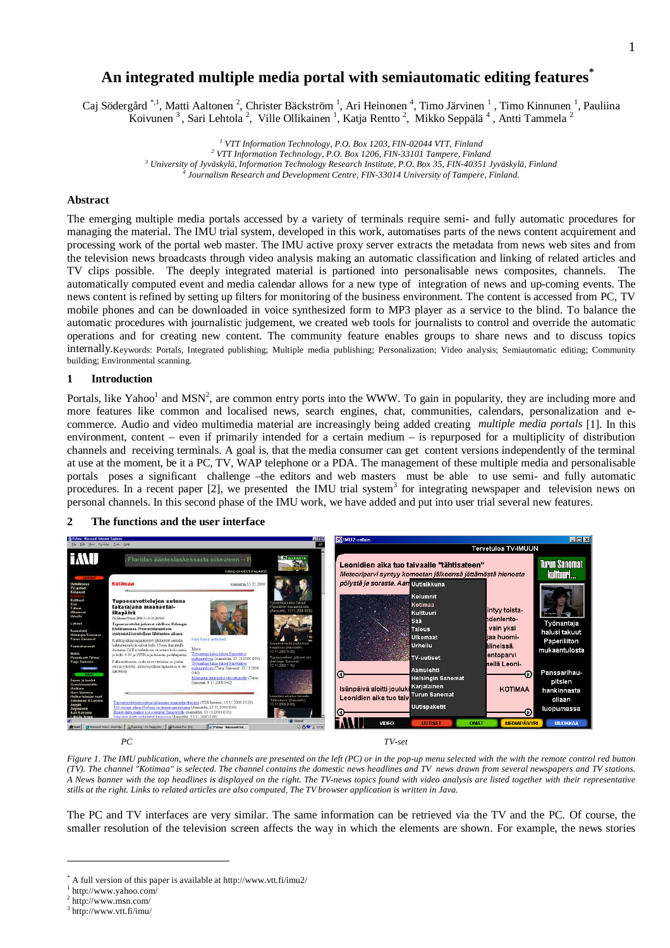# **An integrated multiple media portal with semiautomatic editing features\***

Caj Södergård<sup>\*,1</sup>, Matti Aaltonen<sup>2</sup>, Christer Bäckström<sup>1</sup>, Ari Heinonen<sup>4</sup>, Timo Järvinen<sup>1</sup>, Timo Kinnunen<sup>1</sup>, Pauliina Koivunen<sup>3</sup>, Sari Lehtola<sup>2</sup>, Ville Ollikainen<sup>1</sup>, Katja Rentto<sup>2</sup>, Mikko Seppälä<sup>4</sup>, Antti Tammela<sup>2</sup>

> <sup>1</sup> VTT Information Technology, P.O. Box 1203, FIN-02044 VTT, Finland <sup>2</sup> VTT Information Technology, P.O. Box 1206, FIN-33101 Tampere, Finland *3 University of Jyväskylä, Information Technology Research Institute, P.O. Box 35, FIN-40351 Jyväskylä, Finland 4 Journalism Research and Development Centre, FIN-33014 University of Tampere, Finland.*

## **Abstract**

The emerging multiple media portals accessed by a variety of terminals require semi- and fully automatic procedures for managing the material. The IMU trial system, developed in this work, automatises parts of the news content acquirement and processing work of the portal web master. The IMU active proxy server extracts the metadata from news web sites and from the television news broadcasts through video analysis making an automatic classification and linking of related articles and TV clips possible. The deeply integrated material is partioned into personalisable news composites, channels. The automatically computed event and media calendar allows for a new type of integration of news and up-coming events. The news content is refined by setting up filters for monitoring of the business environment. The content is accessed from PC, TV mobile phones and can be downloaded in voice synthesized form to MP3 player as a service to the blind. To balance the automatic procedures with journalistic judgement, we created web tools for journalists to control and override the automatic operations and for creating new content. The community feature enables groups to share news and to discuss topics internally.Keywords: Portals, Integrated publishing; Multiple media publishing; Personalization; Video analysis; Semiautomatic editing; Community building; Environmental scanning.

## **1 Introduction**

Portals, like Yahoo<sup>1</sup> and MSN<sup>2</sup>, are common entry ports into the WWW. To gain in popularity, they are including more and more features like common and localised news, search engines, chat, communities, calendars, personalization and ecommerce. Audio and video multimedia material are increasingly being added creating *multiple media portals* [1]. In this environment, content – even if primarily intended for a certain medium – is repurposed for a multiplicity of distribution channels and receiving terminals. A goal is, that the media consumer can get content versions independently of the terminal at use at the moment, be it a PC, TV, WAP telephone or a PDA. The management of these multiple media and personalisable portals poses a significant challenge –the editors and web masters must be able to use semi- and fully automatic procedures. In a recent paper [2], we presented the IMU trial system<sup>3</sup> for integrating newspaper and television news on personal channels. In this second phase of the IMU work, we have added and put into user trial several new features.

## **2 The functions and the user interface**



*Figure 1. The IMU publication, where the channels are presented on the left (PC) or in the pop-up menu selected with the with the remote control red button (TV). The channel "Kotimaa" is selected. The channel contains the domestic news headlines and TV news drawn from several newspapers and TV stations. A News banner with the top headlines is displayed on the right. The TV-news topics found with video analysis are listed together with their representative stills at the right. Links to related articles are also computed*. *The TV browser application is written in Java.*

The PC and TV interfaces are very similar. The same information can be retrieved via the TV and the PC. Of course, the smaller resolution of the television screen affects the way in which the elements are shown. For example, the news stories

<u>.</u>

<sup>\*</sup> A full version of this paper is available at http://www.vtt.fi/imu2/

<sup>1</sup> http://www.yahoo.com/

<sup>2</sup> http://www.msn.com/

 $3$  http://www.vtt.fi/imu/